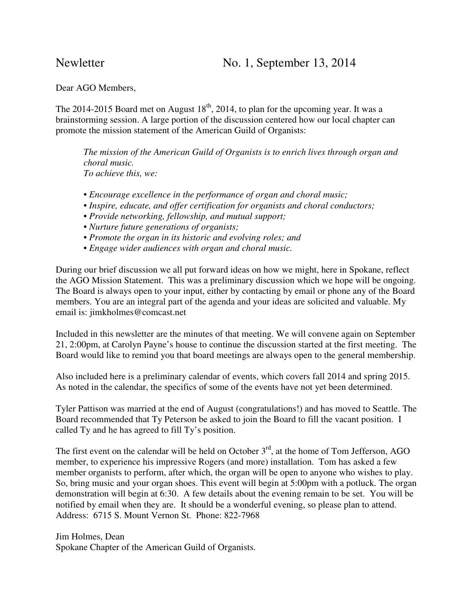Dear AGO Members,

The 2014-2015 Board met on August  $18<sup>th</sup>$ , 2014, to plan for the upcoming year. It was a brainstorming session. A large portion of the discussion centered how our local chapter can promote the mission statement of the American Guild of Organists:

*The mission of the American Guild of Organists is to enrich lives through organ and choral music. To achieve this, we:* 

- *Encourage excellence in the performance of organ and choral music;*
- *Inspire, educate, and offer certification for organists and choral conductors;*
- *Provide networking, fellowship, and mutual support;*
- *Nurture future generations of organists;*
- *Promote the organ in its historic and evolving roles; and*
- *Engage wider audiences with organ and choral music.*

During our brief discussion we all put forward ideas on how we might, here in Spokane, reflect the AGO Mission Statement. This was a preliminary discussion which we hope will be ongoing. The Board is always open to your input, either by contacting by email or phone any of the Board members. You are an integral part of the agenda and your ideas are solicited and valuable. My email is: jimkholmes@comcast.net

Included in this newsletter are the minutes of that meeting. We will convene again on September 21, 2:00pm, at Carolyn Payne's house to continue the discussion started at the first meeting. The Board would like to remind you that board meetings are always open to the general membership.

Also included here is a preliminary calendar of events, which covers fall 2014 and spring 2015. As noted in the calendar, the specifics of some of the events have not yet been determined.

Tyler Pattison was married at the end of August (congratulations!) and has moved to Seattle. The Board recommended that Ty Peterson be asked to join the Board to fill the vacant position. I called Ty and he has agreed to fill Ty's position.

The first event on the calendar will be held on October  $3<sup>rd</sup>$ , at the home of Tom Jefferson, AGO member, to experience his impressive Rogers (and more) installation. Tom has asked a few member organists to perform, after which, the organ will be open to anyone who wishes to play. So, bring music and your organ shoes. This event will begin at 5:00pm with a potluck. The organ demonstration will begin at 6:30. A few details about the evening remain to be set. You will be notified by email when they are. It should be a wonderful evening, so please plan to attend. Address: 6715 S. Mount Vernon St. Phone: 822-7968

Jim Holmes, Dean Spokane Chapter of the American Guild of Organists.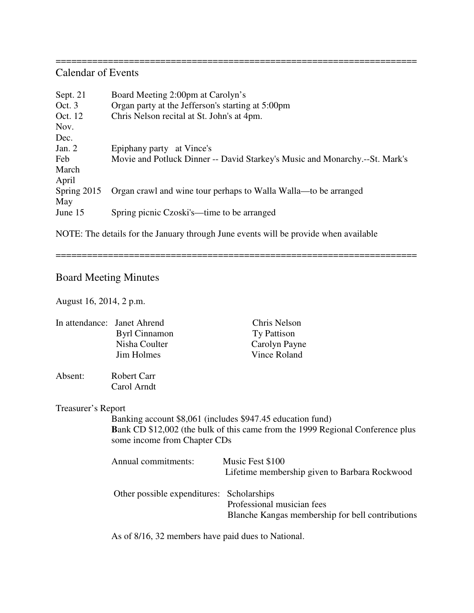===================================================================== Calendar of Events

| Sept. 21    | Board Meeting 2:00pm at Carolyn's                                           |  |  |
|-------------|-----------------------------------------------------------------------------|--|--|
| Oct. 3      | Organ party at the Jefferson's starting at 5:00pm                           |  |  |
| Oct. 12     | Chris Nelson recital at St. John's at 4pm.                                  |  |  |
| Nov.        |                                                                             |  |  |
| Dec.        |                                                                             |  |  |
| Jan. $2$    | Epiphany party at Vince's                                                   |  |  |
| Feb         | Movie and Potluck Dinner -- David Starkey's Music and Monarchy.--St. Mark's |  |  |
| March       |                                                                             |  |  |
| April       |                                                                             |  |  |
| Spring 2015 | Organ crawl and wine tour perhaps to Walla Walla—to be arranged             |  |  |
| May         |                                                                             |  |  |
| June 15     | Spring picnic Czoski's—time to be arranged                                  |  |  |
|             |                                                                             |  |  |

NOTE: The details for the January through June events will be provide when available

=====================================================================

## Board Meeting Minutes

August 16, 2014, 2 p.m.

|                    | In attendance: Janet Ahrend                                                                                                                                                         | Chris Nelson                                     |  |
|--------------------|-------------------------------------------------------------------------------------------------------------------------------------------------------------------------------------|--------------------------------------------------|--|
|                    | <b>Byrl Cinnamon</b>                                                                                                                                                                | Ty Pattison                                      |  |
|                    | Nisha Coulter                                                                                                                                                                       | Carolyn Payne                                    |  |
|                    | Jim Holmes                                                                                                                                                                          | Vince Roland                                     |  |
| Absent:            | Robert Carr                                                                                                                                                                         |                                                  |  |
|                    | Carol Arndt                                                                                                                                                                         |                                                  |  |
| Treasurer's Report |                                                                                                                                                                                     |                                                  |  |
|                    | Banking account \$8,061 (includes \$947.45 education fund)<br><b>Bank CD</b> \$12,002 (the bulk of this came from the 1999 Regional Conference plus<br>some income from Chapter CDs |                                                  |  |
|                    |                                                                                                                                                                                     |                                                  |  |
|                    | Annual commitments:                                                                                                                                                                 | Music Fest \$100                                 |  |
|                    |                                                                                                                                                                                     | Lifetime membership given to Barbara Rockwood    |  |
|                    | Other possible expenditures:                                                                                                                                                        | Scholarships                                     |  |
|                    |                                                                                                                                                                                     | Professional musician fees                       |  |
|                    |                                                                                                                                                                                     | Blanche Kangas membership for bell contributions |  |
|                    |                                                                                                                                                                                     |                                                  |  |

As of 8/16, 32 members have paid dues to National.